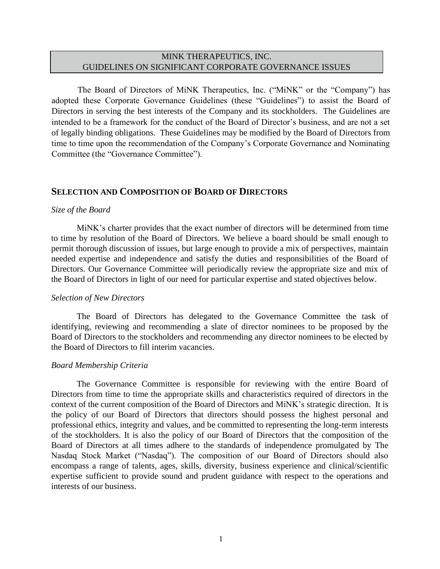# MINK THERAPEUTICS, INC. GUIDELINES ON SIGNIFICANT CORPORATE GOVERNANCE ISSUES

The Board of Directors of MiNK Therapeutics, Inc. ("MiNK" or the "Company") has adopted these Corporate Governance Guidelines (these "Guidelines") to assist the Board of Directors in serving the best interests of the Company and its stockholders. The Guidelines are intended to be a framework for the conduct of the Board of Director's business, and are not a set of legally binding obligations. These Guidelines may be modified by the Board of Directors from time to time upon the recommendation of the Company's Corporate Governance and Nominating Committee (the "Governance Committee").

# **SELECTION AND COMPOSITION OF BOARD OF DIRECTORS**

#### *Size of the Board*

MiNK's charter provides that the exact number of directors will be determined from time to time by resolution of the Board of Directors. We believe a board should be small enough to permit thorough discussion of issues, but large enough to provide a mix of perspectives, maintain needed expertise and independence and satisfy the duties and responsibilities of the Board of Directors. Our Governance Committee will periodically review the appropriate size and mix of the Board of Directors in light of our need for particular expertise and stated objectives below.

## *Selection of New Directors*

The Board of Directors has delegated to the Governance Committee the task of identifying, reviewing and recommending a slate of director nominees to be proposed by the Board of Directors to the stockholders and recommending any director nominees to be elected by the Board of Directors to fill interim vacancies.

## *Board Membership Criteria*

The Governance Committee is responsible for reviewing with the entire Board of Directors from time to time the appropriate skills and characteristics required of directors in the context of the current composition of the Board of Directors and MiNK's strategic direction. It is the policy of our Board of Directors that directors should possess the highest personal and professional ethics, integrity and values, and be committed to representing the long-term interests of the stockholders. It is also the policy of our Board of Directors that the composition of the Board of Directors at all times adhere to the standards of independence promulgated by The Nasdaq Stock Market ("Nasdaq"). The composition of our Board of Directors should also encompass a range of talents, ages, skills, diversity, business experience and clinical/scientific expertise sufficient to provide sound and prudent guidance with respect to the operations and interests of our business.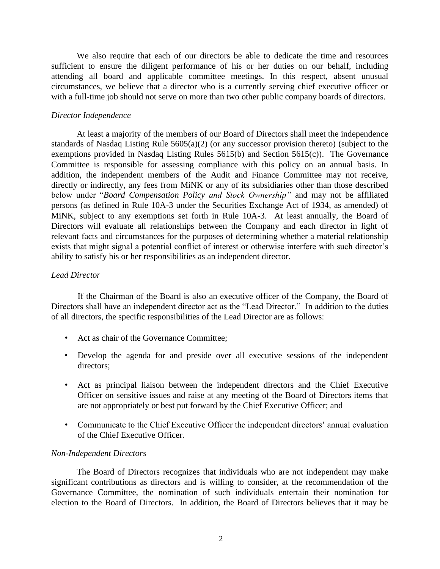We also require that each of our directors be able to dedicate the time and resources sufficient to ensure the diligent performance of his or her duties on our behalf, including attending all board and applicable committee meetings. In this respect, absent unusual circumstances, we believe that a director who is a currently serving chief executive officer or with a full-time job should not serve on more than two other public company boards of directors.

# *Director Independence*

At least a majority of the members of our Board of Directors shall meet the independence standards of Nasdaq Listing Rule 5605(a)(2) (or any successor provision thereto) (subject to the exemptions provided in Nasdaq Listing Rules 5615(b) and Section 5615(c)). The Governance Committee is responsible for assessing compliance with this policy on an annual basis. In addition, the independent members of the Audit and Finance Committee may not receive, directly or indirectly, any fees from MiNK or any of its subsidiaries other than those described below under "*Board Compensation Policy and Stock Ownership"* and may not be affiliated persons (as defined in Rule 10A-3 under the Securities Exchange Act of 1934, as amended) of MiNK, subject to any exemptions set forth in Rule 10A-3. At least annually, the Board of Directors will evaluate all relationships between the Company and each director in light of relevant facts and circumstances for the purposes of determining whether a material relationship exists that might signal a potential conflict of interest or otherwise interfere with such director's ability to satisfy his or her responsibilities as an independent director.

## *Lead Director*

If the Chairman of the Board is also an executive officer of the Company, the Board of Directors shall have an independent director act as the "Lead Director." In addition to the duties of all directors, the specific responsibilities of the Lead Director are as follows:

- Act as chair of the Governance Committee;
- Develop the agenda for and preside over all executive sessions of the independent directors;
- Act as principal liaison between the independent directors and the Chief Executive Officer on sensitive issues and raise at any meeting of the Board of Directors items that are not appropriately or best put forward by the Chief Executive Officer; and
- Communicate to the Chief Executive Officer the independent directors' annual evaluation of the Chief Executive Officer.

## *Non-Independent Directors*

The Board of Directors recognizes that individuals who are not independent may make significant contributions as directors and is willing to consider, at the recommendation of the Governance Committee, the nomination of such individuals entertain their nomination for election to the Board of Directors. In addition, the Board of Directors believes that it may be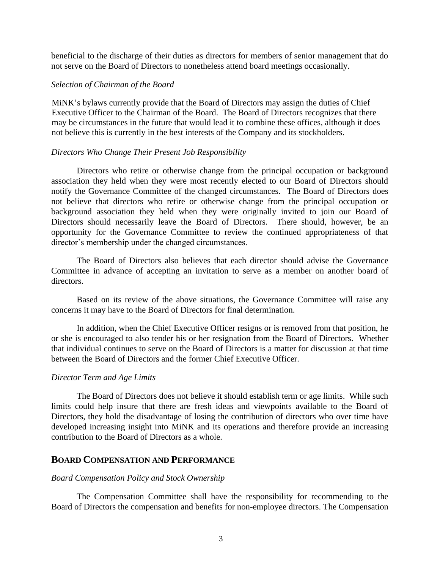beneficial to the discharge of their duties as directors for members of senior management that do not serve on the Board of Directors to nonetheless attend board meetings occasionally.

#### *Selection of Chairman of the Board*

MiNK's bylaws currently provide that the Board of Directors may assign the duties of Chief Executive Officer to the Chairman of the Board. The Board of Directors recognizes that there may be circumstances in the future that would lead it to combine these offices, although it does not believe this is currently in the best interests of the Company and its stockholders.

#### *Directors Who Change Their Present Job Responsibility*

Directors who retire or otherwise change from the principal occupation or background association they held when they were most recently elected to our Board of Directors should notify the Governance Committee of the changed circumstances. The Board of Directors does not believe that directors who retire or otherwise change from the principal occupation or background association they held when they were originally invited to join our Board of Directors should necessarily leave the Board of Directors. There should, however, be an opportunity for the Governance Committee to review the continued appropriateness of that director's membership under the changed circumstances.

The Board of Directors also believes that each director should advise the Governance Committee in advance of accepting an invitation to serve as a member on another board of directors.

Based on its review of the above situations, the Governance Committee will raise any concerns it may have to the Board of Directors for final determination.

In addition, when the Chief Executive Officer resigns or is removed from that position, he or she is encouraged to also tender his or her resignation from the Board of Directors. Whether that individual continues to serve on the Board of Directors is a matter for discussion at that time between the Board of Directors and the former Chief Executive Officer.

## *Director Term and Age Limits*

The Board of Directors does not believe it should establish term or age limits. While such limits could help insure that there are fresh ideas and viewpoints available to the Board of Directors, they hold the disadvantage of losing the contribution of directors who over time have developed increasing insight into MiNK and its operations and therefore provide an increasing contribution to the Board of Directors as a whole.

## **BOARD COMPENSATION AND PERFORMANCE**

#### *Board Compensation Policy and Stock Ownership*

The Compensation Committee shall have the responsibility for recommending to the Board of Directors the compensation and benefits for non-employee directors. The Compensation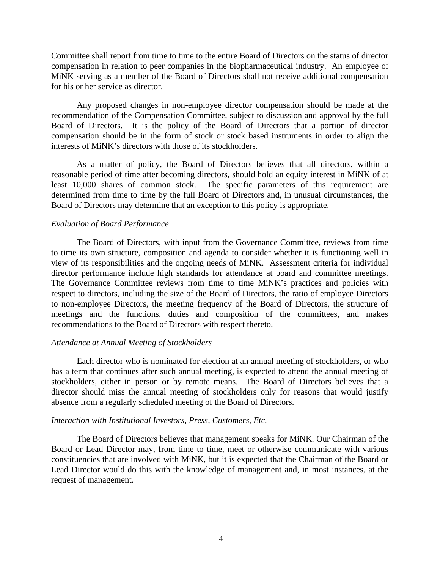Committee shall report from time to time to the entire Board of Directors on the status of director compensation in relation to peer companies in the biopharmaceutical industry. An employee of MiNK serving as a member of the Board of Directors shall not receive additional compensation for his or her service as director.

Any proposed changes in non-employee director compensation should be made at the recommendation of the Compensation Committee, subject to discussion and approval by the full Board of Directors. It is the policy of the Board of Directors that a portion of director compensation should be in the form of stock or stock based instruments in order to align the interests of MiNK's directors with those of its stockholders.

As a matter of policy, the Board of Directors believes that all directors, within a reasonable period of time after becoming directors, should hold an equity interest in MiNK of at least 10,000 shares of common stock. The specific parameters of this requirement are determined from time to time by the full Board of Directors and, in unusual circumstances, the Board of Directors may determine that an exception to this policy is appropriate.

## *Evaluation of Board Performance*

The Board of Directors, with input from the Governance Committee, reviews from time to time its own structure, composition and agenda to consider whether it is functioning well in view of its responsibilities and the ongoing needs of MiNK. Assessment criteria for individual director performance include high standards for attendance at board and committee meetings. The Governance Committee reviews from time to time MiNK's practices and policies with respect to directors, including the size of the Board of Directors, the ratio of employee Directors to non-employee Directors, the meeting frequency of the Board of Directors, the structure of meetings and the functions, duties and composition of the committees, and makes recommendations to the Board of Directors with respect thereto.

## *Attendance at Annual Meeting of Stockholders*

Each director who is nominated for election at an annual meeting of stockholders, or who has a term that continues after such annual meeting, is expected to attend the annual meeting of stockholders, either in person or by remote means. The Board of Directors believes that a director should miss the annual meeting of stockholders only for reasons that would justify absence from a regularly scheduled meeting of the Board of Directors.

## *Interaction with Institutional Investors, Press, Customers, Etc.*

The Board of Directors believes that management speaks for MiNK. Our Chairman of the Board or Lead Director may, from time to time, meet or otherwise communicate with various constituencies that are involved with MiNK, but it is expected that the Chairman of the Board or Lead Director would do this with the knowledge of management and, in most instances, at the request of management.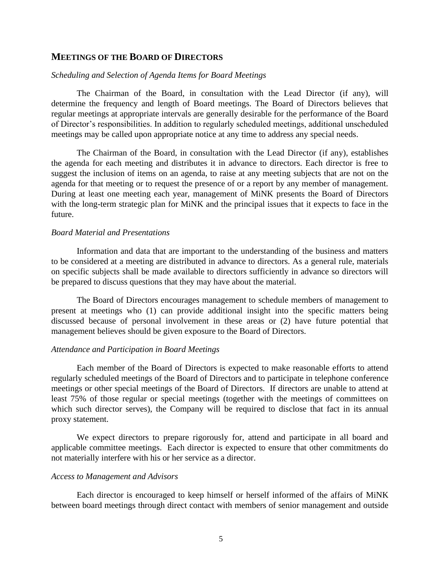## **MEETINGS OF THE BOARD OF DIRECTORS**

#### *Scheduling and Selection of Agenda Items for Board Meetings*

The Chairman of the Board, in consultation with the Lead Director (if any), will determine the frequency and length of Board meetings. The Board of Directors believes that regular meetings at appropriate intervals are generally desirable for the performance of the Board of Director's responsibilities. In addition to regularly scheduled meetings, additional unscheduled meetings may be called upon appropriate notice at any time to address any special needs.

The Chairman of the Board, in consultation with the Lead Director (if any), establishes the agenda for each meeting and distributes it in advance to directors. Each director is free to suggest the inclusion of items on an agenda, to raise at any meeting subjects that are not on the agenda for that meeting or to request the presence of or a report by any member of management. During at least one meeting each year, management of MiNK presents the Board of Directors with the long-term strategic plan for MiNK and the principal issues that it expects to face in the future.

#### *Board Material and Presentations*

Information and data that are important to the understanding of the business and matters to be considered at a meeting are distributed in advance to directors. As a general rule, materials on specific subjects shall be made available to directors sufficiently in advance so directors will be prepared to discuss questions that they may have about the material.

The Board of Directors encourages management to schedule members of management to present at meetings who (1) can provide additional insight into the specific matters being discussed because of personal involvement in these areas or (2) have future potential that management believes should be given exposure to the Board of Directors.

#### *Attendance and Participation in Board Meetings*

Each member of the Board of Directors is expected to make reasonable efforts to attend regularly scheduled meetings of the Board of Directors and to participate in telephone conference meetings or other special meetings of the Board of Directors. If directors are unable to attend at least 75% of those regular or special meetings (together with the meetings of committees on which such director serves), the Company will be required to disclose that fact in its annual proxy statement.

We expect directors to prepare rigorously for, attend and participate in all board and applicable committee meetings. Each director is expected to ensure that other commitments do not materially interfere with his or her service as a director.

#### *Access to Management and Advisors*

Each director is encouraged to keep himself or herself informed of the affairs of MiNK between board meetings through direct contact with members of senior management and outside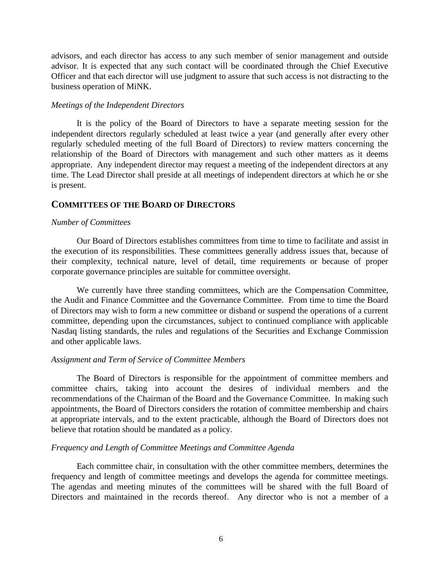advisors, and each director has access to any such member of senior management and outside advisor. It is expected that any such contact will be coordinated through the Chief Executive Officer and that each director will use judgment to assure that such access is not distracting to the business operation of MiNK.

#### *Meetings of the Independent Directors*

It is the policy of the Board of Directors to have a separate meeting session for the independent directors regularly scheduled at least twice a year (and generally after every other regularly scheduled meeting of the full Board of Directors) to review matters concerning the relationship of the Board of Directors with management and such other matters as it deems appropriate. Any independent director may request a meeting of the independent directors at any time. The Lead Director shall preside at all meetings of independent directors at which he or she is present.

# **COMMITTEES OF THE BOARD OF DIRECTORS**

#### *Number of Committees*

Our Board of Directors establishes committees from time to time to facilitate and assist in the execution of its responsibilities. These committees generally address issues that, because of their complexity, technical nature, level of detail, time requirements or because of proper corporate governance principles are suitable for committee oversight.

We currently have three standing committees, which are the Compensation Committee, the Audit and Finance Committee and the Governance Committee. From time to time the Board of Directors may wish to form a new committee or disband or suspend the operations of a current committee, depending upon the circumstances, subject to continued compliance with applicable Nasdaq listing standards, the rules and regulations of the Securities and Exchange Commission and other applicable laws.

## *Assignment and Term of Service of Committee Members*

The Board of Directors is responsible for the appointment of committee members and committee chairs, taking into account the desires of individual members and the recommendations of the Chairman of the Board and the Governance Committee. In making such appointments, the Board of Directors considers the rotation of committee membership and chairs at appropriate intervals, and to the extent practicable, although the Board of Directors does not believe that rotation should be mandated as a policy.

## *Frequency and Length of Committee Meetings and Committee Agenda*

Each committee chair, in consultation with the other committee members, determines the frequency and length of committee meetings and develops the agenda for committee meetings. The agendas and meeting minutes of the committees will be shared with the full Board of Directors and maintained in the records thereof. Any director who is not a member of a